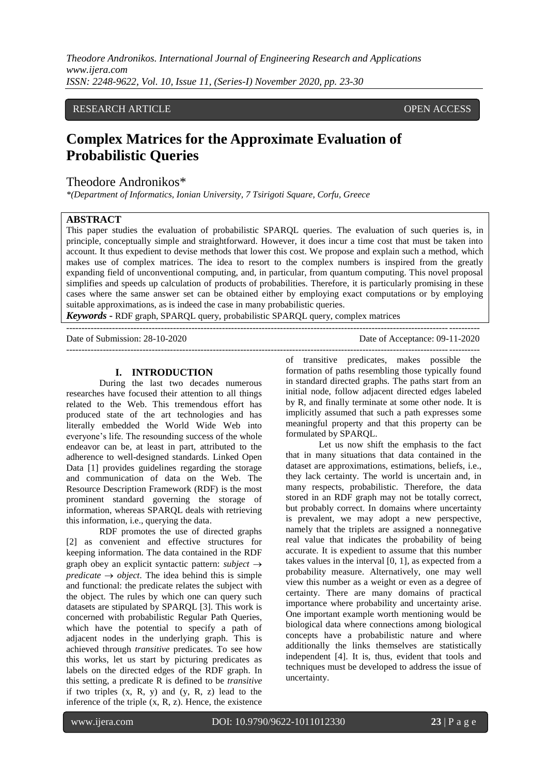*Theodore Andronikos. International Journal of Engineering Research and Applications www.ijera.com ISSN: 2248-9622, Vol. 10, Issue 11, (Series-I) November 2020, pp. 23-30*

## RESEARCH ARTICLE **CONSERVERS** OPEN ACCESS

# **Complex Matrices for the Approximate Evaluation of Probabilistic Queries**

# Theodore Andronikos\*

*\*(Department of Informatics, Ionian University, 7 Tsirigoti Square, Corfu, Greece*

## **ABSTRACT**

This paper studies the evaluation of probabilistic SPARQL queries. The evaluation of such queries is, in principle, conceptually simple and straightforward. However, it does incur a time cost that must be taken into account. It thus expedient to devise methods that lower this cost. We propose and explain such a method, which makes use of complex matrices. The idea to resort to the complex numbers is inspired from the greatly expanding field of unconventional computing, and, in particular, from quantum computing. This novel proposal simplifies and speeds up calculation of products of probabilities. Therefore, it is particularly promising in these cases where the same answer set can be obtained either by employing exact computations or by employing suitable approximations, as is indeed the case in many probabilistic queries.

*Keywords* **-** RDF graph, SPARQL query, probabilistic SPARQL query, complex matrices

--------------------------------------------------------------------------------------------------------------------------------------- Date of Submission: 28-10-2020 Date of Acceptance: 09-11-2020 ---------------------------------------------------------------------------------------------------------------------------------------

#### **I. INTRODUCTION**

During the last two decades numerous researches have focused their attention to all things related to the Web. This tremendous effort has produced state of the art technologies and has literally embedded the World Wide Web into everyone's life. The resounding success of the whole endeavor can be, at least in part, attributed to the adherence to well-designed standards. Linked Open Data [1] provides guidelines regarding the storage and communication of data on the Web. The Resource Description Framework (RDF) is the most prominent standard governing the storage of information, whereas SPARQL deals with retrieving this information, i.e., querying the data.

RDF promotes the use of directed graphs [2] as convenient and effective structures for keeping information. The data contained in the RDF graph obey an explicit syntactic pattern: *subject predicate*  $\rightarrow$  *object*. The idea behind this is simple and functional: the predicate relates the subject with the object. The rules by which one can query such datasets are stipulated by SPARQL [3]. This work is concerned with probabilistic Regular Path Queries, which have the potential to specify a path of adjacent nodes in the underlying graph. This is achieved through *transitive* predicates. To see how this works, let us start by picturing predicates as labels on the directed edges of the RDF graph. In this setting, a predicate R is defined to be *transitive* if two triples  $(x, R, y)$  and  $(y, R, z)$  lead to the inference of the triple  $(x, R, z)$ . Hence, the existence

of transitive predicates, makes possible the formation of paths resembling those typically found in standard directed graphs. The paths start from an initial node, follow adjacent directed edges labeled by R, and finally terminate at some other node. It is implicitly assumed that such a path expresses some meaningful property and that this property can be formulated by SPARQL.

Let us now shift the emphasis to the fact that in many situations that data contained in the dataset are approximations, estimations, beliefs, i.e., they lack certainty. The world is uncertain and, in many respects, probabilistic. Therefore, the data stored in an RDF graph may not be totally correct, but probably correct. In domains where uncertainty is prevalent, we may adopt a new perspective, namely that the triplets are assigned a nonnegative real value that indicates the probability of being accurate. It is expedient to assume that this number takes values in the interval [0, 1], as expected from a probability measure. Alternatively, one may well view this number as a weight or even as a degree of certainty. There are many domains of practical importance where probability and uncertainty arise. One important example worth mentioning would be biological data where connections among biological concepts have a probabilistic nature and where additionally the links themselves are statistically independent [4]. It is, thus, evident that tools and techniques must be developed to address the issue of uncertainty.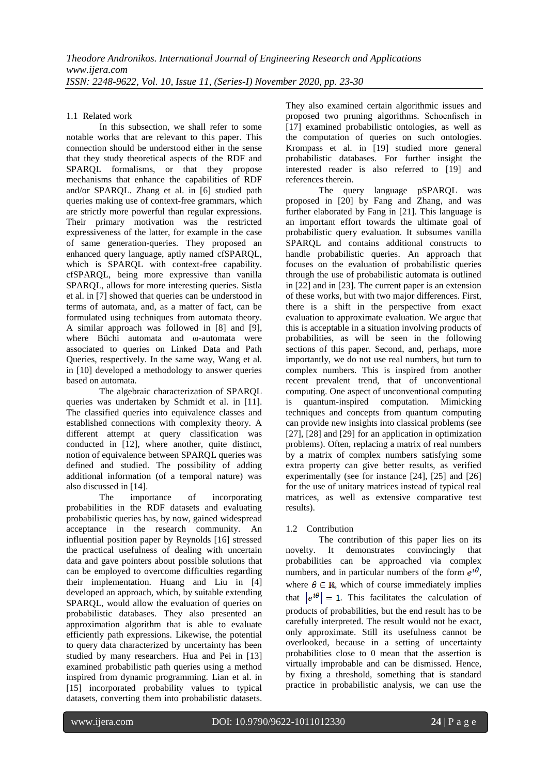1.1 Related work

In this subsection, we shall refer to some notable works that are relevant to this paper. This connection should be understood either in the sense that they study theoretical aspects of the RDF and SPARQL formalisms, or that they propose mechanisms that enhance the capabilities of RDF and/or SPARQL. Zhang et al. in [6] studied path queries making use of context-free grammars, which are strictly more powerful than regular expressions. Their primary motivation was the restricted expressiveness of the latter, for example in the case of same generation-queries. They proposed an enhanced query language, aptly named cfSPARQL, which is SPARQL with context-free capability. cfSPARQL, being more expressive than vanilla SPARQL, allows for more interesting queries. Sistla et al. in [7] showed that queries can be understood in terms of automata, and, as a matter of fact, can be formulated using techniques from automata theory. A similar approach was followed in [8] and [9], where Büchi automata and ω-automata were associated to queries on Linked Data and Path Queries, respectively. In the same way, Wang et al. in [10] developed a methodology to answer queries based on automata.

The algebraic characterization of SPARQL queries was undertaken by Schmidt et al. in [11]. The classified queries into equivalence classes and established connections with complexity theory. A different attempt at query classification was conducted in [12], where another, quite distinct, notion of equivalence between SPARQL queries was defined and studied. The possibility of adding additional information (of a temporal nature) was also discussed in [14].

The importance of incorporating probabilities in the RDF datasets and evaluating probabilistic queries has, by now, gained widespread acceptance in the research community. An influential position paper by Reynolds [16] stressed the practical usefulness of dealing with uncertain data and gave pointers about possible solutions that can be employed to overcome difficulties regarding their implementation. Huang and Liu in [4] developed an approach, which, by suitable extending SPARQL, would allow the evaluation of queries on probabilistic databases. They also presented an approximation algorithm that is able to evaluate efficiently path expressions. Likewise, the potential to query data characterized by uncertainty has been studied by many researchers. Hua and Pei in [13] examined probabilistic path queries using a method inspired from dynamic programming. Lian et al. in [15] incorporated probability values to typical datasets, converting them into probabilistic datasets.

They also examined certain algorithmic issues and proposed two pruning algorithms. Schoenfisch in [17] examined probabilistic ontologies, as well as the computation of queries on such ontologies. Krompass et al. in [19] studied more general probabilistic databases. For further insight the interested reader is also referred to [19] and references therein.

The query language pSPARQL was proposed in [20] by Fang and Zhang, and was further elaborated by Fang in [21]. This language is an important effort towards the ultimate goal of probabilistic query evaluation. It subsumes vanilla SPARQL and contains additional constructs to handle probabilistic queries. An approach that focuses on the evaluation of probabilistic queries through the use of probabilistic automata is outlined in [22] and in [23]. The current paper is an extension of these works, but with two major differences. First, there is a shift in the perspective from exact evaluation to approximate evaluation. We argue that this is acceptable in a situation involving products of probabilities, as will be seen in the following sections of this paper. Second, and, perhaps, more importantly, we do not use real numbers, but turn to complex numbers. This is inspired from another recent prevalent trend, that of unconventional computing. One aspect of unconventional computing is quantum-inspired computation. Mimicking techniques and concepts from quantum computing can provide new insights into classical problems (see [27], [28] and [29] for an application in optimization problems). Often, replacing a matrix of real numbers by a matrix of complex numbers satisfying some extra property can give better results, as verified experimentally (see for instance [24], [25] and [26] for the use of unitary matrices instead of typical real matrices, as well as extensive comparative test results).

# 1.2 Contribution

The contribution of this paper lies on its novelty. It demonstrates convincingly that probabilities can be approached via complex numbers, and in particular numbers of the form  $e^{i\theta}$ , where  $\theta \in \mathbb{R}$ , which of course immediately implies that  $|e^{i\theta}| = 1$ . This facilitates the calculation of products of probabilities, but the end result has to be carefully interpreted. The result would not be exact, only approximate. Still its usefulness cannot be overlooked, because in a setting of uncertainty probabilities close to 0 mean that the assertion is virtually improbable and can be dismissed. Hence, by fixing a threshold, something that is standard practice in probabilistic analysis, we can use the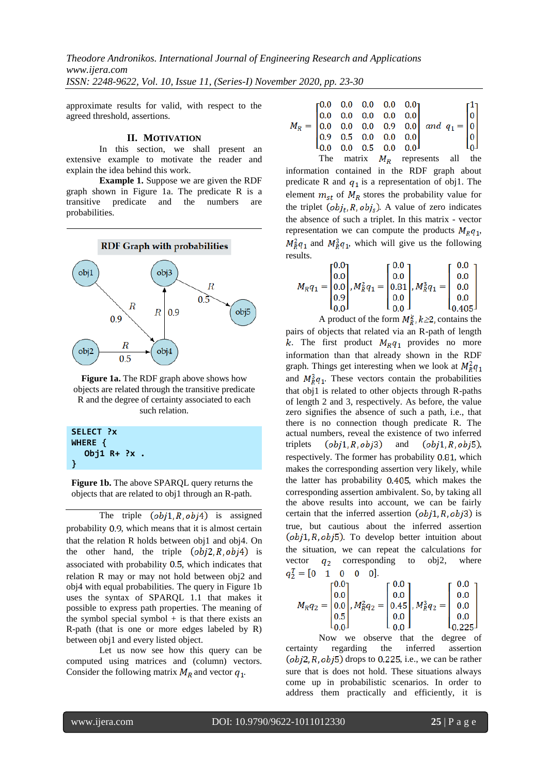*Theodore Andronikos. International Journal of Engineering Research and Applications www.ijera.com ISSN: 2248-9622, Vol. 10, Issue 11, (Series-I) November 2020, pp. 23-30*

approximate results for valid, with respect to the agreed threshold, assertions.

## **II. MOTIVATION**

In this section, we shall present an extensive example to motivate the reader and explain the idea behind this work.

**Example 1.** Suppose we are given the RDF graph shown in Figure 1a. The predicate R is a transitive predicate and the numbers are probabilities.



**Figure 1a.** The RDF graph above shows how objects are related through the transitive predicate R and the degree of certainty associated to each such relation.

| SELECT ?x     |
|---------------|
| WHERE {       |
| Obj1 $R+$ ?x. |
|               |

**Figure 1b.** The above SPARQL query returns the objects that are related to obj1 through an R-path.

The triple  $(obj1, R, obj4)$  is assigned probability  $0.9$ , which means that it is almost certain that the relation R holds between obj1 and obj4. On the other hand, the triple  $(obj2, R, obj4)$  is associated with probability  $0.5$ , which indicates that relation R may or may not hold between obj2 and obj4 with equal probabilities. The query in Figure 1b uses the syntax of SPARQL 1.1 that makes it possible to express path properties. The meaning of the symbol special symbol  $+$  is that there exists an R-path (that is one or more edges labeled by R) between obj1 and every listed object.

Let us now see how this query can be computed using matrices and (column) vectors. Consider the following matrix  $M_R$  and vector  $q_1$ .

|  |  |  | The matrix $M_R$ represents all the |  |  |
|--|--|--|-------------------------------------|--|--|
|  |  |  |                                     |  |  |
|  |  |  |                                     |  |  |
|  |  |  |                                     |  |  |
|  |  |  |                                     |  |  |
|  |  |  |                                     |  |  |
|  |  |  |                                     |  |  |

information contained in the RDF graph about predicate R and  $q_1$  is a representation of obj1. The element  $m_{st}$  of  $M_R$  stores the probability value for the triplet  $(obj_t, R, obj_s)$ . A value of zero indicates the absence of such a triplet. In this matrix - vector representation we can compute the products  $M_R q_1$ ,  $M_R^2q_1$  and  $M_R^3q_1$ , which will give us the following results.

$$
M_R q_1 = \begin{bmatrix} 0.0 \\ 0.0 \\ 0.0 \\ 0.9 \\ 0.0 \end{bmatrix}, M_R^2 q_1 = \begin{bmatrix} 0.0 \\ 0.0 \\ 0.81 \\ 0.0 \\ 0.0 \end{bmatrix}, M_R^3 q_1 = \begin{bmatrix} 0.0 \\ 0.0 \\ 0.0 \\ 0.0 \\ 0.405 \end{bmatrix}
$$

A product of the form  $M_R^k$ ,  $k \geq 2$ , contains the pairs of objects that related via an R-path of length k. The first product  $M_R q_1$  provides no more information than that already shown in the RDF graph. Things get interesting when we look at  $M_R^2 q_1$ and  $M_R^3 q_1$ . These vectors contain the probabilities that obj1 is related to other objects through R-paths of length 2 and 3, respectively. As before, the value zero signifies the absence of such a path, i.e., that there is no connection though predicate R. The actual numbers, reveal the existence of two inferred triplets  $(obj1, R, obj3)$  and  $(obj1, R, obj5)$ , respectively. The former has probability 0.81, which makes the corresponding assertion very likely, while the latter has probability  $0.405$ , which makes the corresponding assertion ambivalent. So, by taking all the above results into account, we can be fairly certain that the inferred assertion  $(obj1, R, obj3)$  is true, but cautious about the inferred assertion  $(obj1, R, obj5)$ . To develop better intuition about the situation, we can repeat the calculations for vector  $q_2$  corresponding to obj2, where  $q_2^T = [0 \ 1 \ 0 \ 0 \ 0].$ 

$$
M_R q_2 = \begin{bmatrix} 0.0 \\ 0.0 \\ 0.0 \\ 0.5 \\ 0.0 \end{bmatrix}, M_R^2 q_2 = \begin{bmatrix} 0.0 \\ 0.0 \\ 0.45 \\ 0.0 \\ 0.0 \end{bmatrix}, M_R^3 q_2 = \begin{bmatrix} 0.0 \\ 0.0 \\ 0.0 \\ 0.0 \\ 0.225 \end{bmatrix}
$$

Now we observe that the degree of certainty regarding the inferred assertion  $(obj2, R, obj5)$  drops to 0.225, i.e., we can be rather sure that is does not hold. These situations always come up in probabilistic scenarios. In order to address them practically and efficiently, it is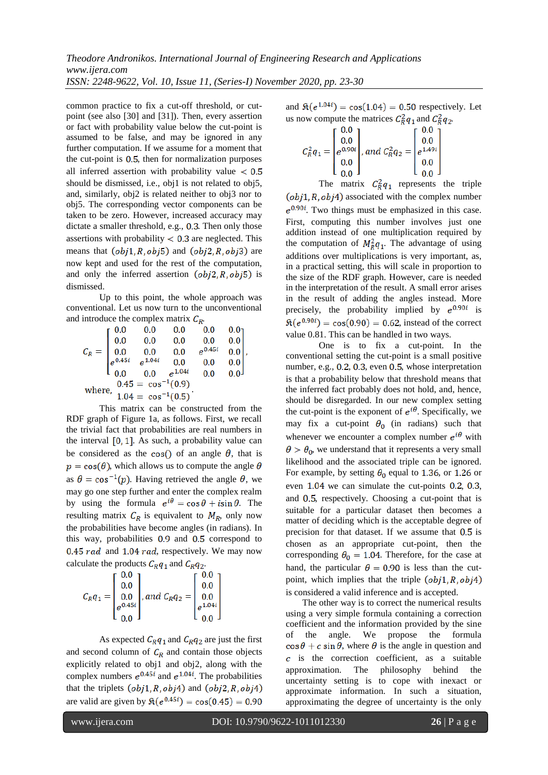*Theodore Andronikos. International Journal of Engineering Research and Applications www.ijera.com ISSN: 2248-9622, Vol. 10, Issue 11, (Series-I) November 2020, pp. 23-30*

common practice to fix a cut-off threshold, or cutpoint (see also [30] and [31]). Then, every assertion or fact with probability value below the cut-point is assumed to be false, and may be ignored in any further computation. If we assume for a moment that the cut-point is  $0.5$ , then for normalization purposes all inferred assertion with probability value  $< 0.5$ should be dismissed, i.e., obj1 is not related to obj5, and, similarly, obj2 is related neither to obj3 nor to obj5. The corresponding vector components can be taken to be zero. However, increased accuracy may dictate a smaller threshold, e.g., 0.3. Then only those assertions with probability  $< 0.3$  are neglected. This means that  $(obj1, R, obj5)$  and  $(obj2, R, obj3)$  are now kept and used for the rest of the computation, and only the inferred assertion  $(obj2, R, obj5)$  is dismissed.

Up to this point, the whole approach was conventional. Let us now turn to the unconventional and introduce the complex matrix  $C_R$ .

.

This matrix can be constructed from the RDF graph of Figure 1a, as follows. First, we recall the trivial fact that probabilities are real numbers in the interval  $\left[0, 1\right]$ . As such, a probability value can be considered as the cos() of an angle  $\theta$ , that is  $p = cos(\theta)$ , which allows us to compute the angle  $\theta$ as  $\theta = \cos^{-1}(p)$ . Having retrieved the angle  $\theta$ , we may go one step further and enter the complex realm by using the formula  $e^{i\theta} = \cos \theta + i \sin \theta$ . The resulting matrix  $C_R$  is equivalent to  $M_R$ , only now the probabilities have become angles (in radians). In this way, probabilities  $0.9$  and  $0.5$  correspond to 0.45  $rad$  and 1.04  $rad$ , respectively. We may now calculate the products  $C_R q_1$  and  $C_R q_2$ .

$$
C_R q_1 = \begin{bmatrix} 0.0 \\ 0.0 \\ 0.0 \\ e^{0.45i} \\ 0.0 \end{bmatrix}, and C_R q_2 = \begin{bmatrix} 0.0 \\ 0.0 \\ 0.0 \\ e^{1.04i} \\ 0.0 \end{bmatrix}
$$

As expected  $C_R q_1$  and  $C_R q_2$  are just the first and second column of  $C_R$  and contain those objects explicitly related to obj1 and obj2, along with the complex numbers  $e^{0.45i}$  and  $e^{1.04i}$ . The probabilities that the triplets  $(obj1, R, obj4)$  and  $(obj2, R, obj4)$ are valid are given by  $\Re(e^{0.45i}) = \cos(0.45) = 0.90$ 

and  $\Re(e^{1.04i}) = \cos(1.04) = 0.50$  respectively. Let us now compute the matrices  $C_R^2q_1$  and  $C_R^2q_2$ .

$$
C_R^2 q_1 = \begin{bmatrix} 0.0 \\ 0.0 \\ e^{0.90i} \\ 0.0 \\ 0.0 \end{bmatrix}, and C_R^2 q_2 = \begin{bmatrix} 0.0 \\ 0.0 \\ e^{1.49i} \\ 0.0 \\ 0.0 \end{bmatrix}
$$

The matrix  $C_R^2 q_1$  represents the triple  $(obj1, R, obj4)$  associated with the complex number  $e^{0.90i}$ . Two things must be emphasized in this case. First, computing this number involves just one addition instead of one multiplication required by the computation of  $M_R^2 q_1$ . The advantage of using additions over multiplications is very important, as, in a practical setting, this will scale in proportion to the size of the RDF graph. However, care is needed in the interpretation of the result. A small error arises in the result of adding the angles instead. More precisely, the probability implied by  $e^{0.90i}$  is  $\Re(e^{0.90i}) = \cos(0.90) = 0.62$ , instead of the correct value 0.81. This can be handled in two ways.

One is to fix a cut-point. In the conventional setting the cut-point is a small positive number, e.g., 0.2, 0.3, even 0.5, whose interpretation is that a probability below that threshold means that the inferred fact probably does not hold, and, hence, should be disregarded. In our new complex setting the cut-point is the exponent of  $e^{i\theta}$ . Specifically, we may fix a cut-point  $\theta_0$  (in radians) such that whenever we encounter a complex number  $e^{i\theta}$  with  $\theta > \theta_0$ , we understand that it represents a very small likelihood and the associated triple can be ignored. For example, by setting  $\theta_0$  equal to 1.36, or 1.26 or even  $1.04$  we can simulate the cut-points 0.2, 0.3, and  $0.5$ , respectively. Choosing a cut-point that is suitable for a particular dataset then becomes a matter of deciding which is the acceptable degree of precision for that dataset. If we assume that  $0.5$  is chosen as an appropriate cut-point, then the corresponding  $\theta_0 = 1.04$ . Therefore, for the case at hand, the particular  $\theta = 0.90$  is less than the cutpoint, which implies that the triple  $(obj1, R, obj4)$ is considered a valid inference and is accepted.

The other way is to correct the numerical results using a very simple formula containing a correction coefficient and the information provided by the sine of the angle. We propose the formula  $\cos\theta + c \sin\theta$ , where  $\theta$  is the angle in question and  $\overline{c}$  is the correction coefficient, as a suitable approximation. The philosophy behind the uncertainty setting is to cope with inexact or approximate information. In such a situation, approximating the degree of uncertainty is the only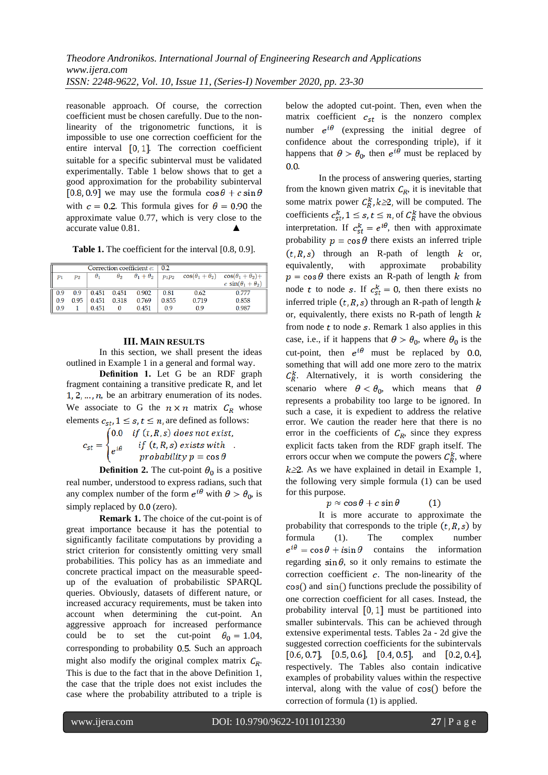reasonable approach. Of course, the correction coefficient must be chosen carefully. Due to the nonlinearity of the trigonometric functions, it is impossible to use one correction coefficient for the entire interval  $[0, 1]$ . The correction coefficient suitable for a specific subinterval must be validated experimentally. Table 1 below shows that to get a good approximation for the probability subinterval [0.8, 0.9] we may use the formula  $\cos\theta + c \sin\theta$ with  $c = 0.2$ . This formula gives for  $\theta = 0.90$  the approximate value 0.77, which is very close to the accurate value 0.81.

**Table 1.** The coefficient for the interval [0.8, 0.9].

|       |       |            |            | Correction coefficient c: | 0.2      |                             |                               |
|-------|-------|------------|------------|---------------------------|----------|-----------------------------|-------------------------------|
| $p_1$ | $p_2$ | $\theta_1$ | $\theta_2$ | $\theta_1 + \theta_2$     | $p_1p_2$ | $\cos(\theta_1 + \theta_2)$ | $\cos(\theta_1+\theta_2)+$    |
|       |       |            |            |                           |          |                             | c $\sin(\theta_1 + \theta_2)$ |
| 0 Q   | 0.9   | 0.451      | 0.451      | 0.902                     | 0.81     | 0.62                        | 0.777                         |
| 0.9   | 0.95  | 0.451      | 0.318      | 0.769                     | 0.855    | 0.719                       | 0.858                         |
| 0.9   |       | 0.451      |            | 0.451                     | 0.9      | 0.9                         | 0.987                         |

## **III. MAIN RESULTS**

In this section, we shall present the ideas outlined in Example 1 in a general and formal way.

**Definition 1.** Let G be an RDF graph fragment containing a transitive predicate R, and let  $1, 2, \ldots, n$ , be an arbitrary enumeration of its nodes. We associate to G the  $n \times n$  matrix  $C_R$  whose

elements  $c_{st}$ ,  $1 \le s$ ,  $t \le n$ , are defined as follows:<br>  $c_{st} = \begin{cases} 0.0 & \text{if } (t, R, s) \text{ does not exist,} \\ e^{i\theta} & \text{if } (t, R, s) \text{ exists with} \\ probability p = \cos \theta \end{cases}$ 

**Definition 2.** The cut-point  $\theta_0$  is a positive real number, understood to express radians, such that any complex number of the form  $e^{i\theta}$  with  $\theta > \theta_0$ , is simply replaced by  $0.0$  (zero).

**Remark 1.** The choice of the cut-point is of great importance because it has the potential to significantly facilitate computations by providing a strict criterion for consistently omitting very small probabilities. This policy has as an immediate and concrete practical impact on the measurable speedup of the evaluation of probabilistic SPARQL queries. Obviously, datasets of different nature, or increased accuracy requirements, must be taken into account when determining the cut-point. An aggressive approach for increased performance could be to set the cut-point  $\theta_0 = 1.04$ , corresponding to probability  $0.5$ . Such an approach might also modify the original complex matrix  $C_R$ . This is due to the fact that in the above Definition 1, the case that the triple does not exist includes the case where the probability attributed to a triple is below the adopted cut-point. Then, even when the matrix coefficient  $c_{st}$  is the nonzero complex number  $e^{i\theta}$  (expressing the initial degree of confidence about the corresponding triple), if it happens that  $\theta > \theta_0$ , then  $e^{i\hat{\theta}}$  must be replaced by  $0.0$ 

In the process of answering queries, starting from the known given matrix  $C_R$ , it is inevitable that some matrix power  $C_R^k$ ,  $k \ge 2$ , will be computed. The coefficients  $c_{st}^k$ ,  $1 \leq s$ ,  $t \leq n$ , of  $C_R^k$  have the obvious interpretation. If  $c_{st}^k = e^{i\theta}$ , then with approximate probability  $p = \cos \theta$  there exists an inferred triple  $(t, R, s)$  through an R-path of length k or, equivalently, with approximate probability  $p = \cos \theta$  there exists an R-path of length k from node t to node s. If  $c_{st}^k = 0$ , then there exists no inferred triple  $(t, R, s)$  through an R-path of length  $k$ or, equivalently, there exists no R-path of length  $k$ from node  $t$  to node  $s$ . Remark 1 also applies in this case, i.e., if it happens that  $\theta > \theta_0$ , where  $\theta_0$  is the cut-point, then  $e^{i\theta}$  must be replaced by 0.0, something that will add one more zero to the matrix  $C_R^k$ . Alternatively, it is worth considering the scenario where  $\theta < \theta_0$ , which means that  $\theta$ represents a probability too large to be ignored. In such a case, it is expedient to address the relative error. We caution the reader here that there is no error in the coefficients of  $C_R$ , since they express explicit facts taken from the RDF graph itself. The errors occur when we compute the powers  $C_R^k$ , where  $k \geq 2$ . As we have explained in detail in Example 1, the following very simple formula (1) can be used for this purpose.

$$
p \approx \cos \theta + c \sin \theta \qquad (1)
$$

It is more accurate to approximate the probability that corresponds to the triple  $(t, R, s)$  by formula (1). The complex number  $e^{i\theta} = \cos\theta + i\sin\theta$ contains the information regarding  $\sin \theta$ , so it only remains to estimate the correction coefficient  $c$ . The non-linearity of the  $cos()$  and  $sin()$  functions preclude the possibility of one correction coefficient for all cases. Instead, the probability interval  $[0, 1]$  must be partitioned into smaller subintervals. This can be achieved through extensive experimental tests. Tables 2a - 2d give the suggested correction coefficients for the subintervals  $[0.6, 0.7], [0.5, 0.6], [0.4, 0.5],$  and  $[0.2, 0.4],$ respectively. The Tables also contain indicative examples of probability values within the respective interval, along with the value of  $cos()$  before the correction of formula (1) is applied.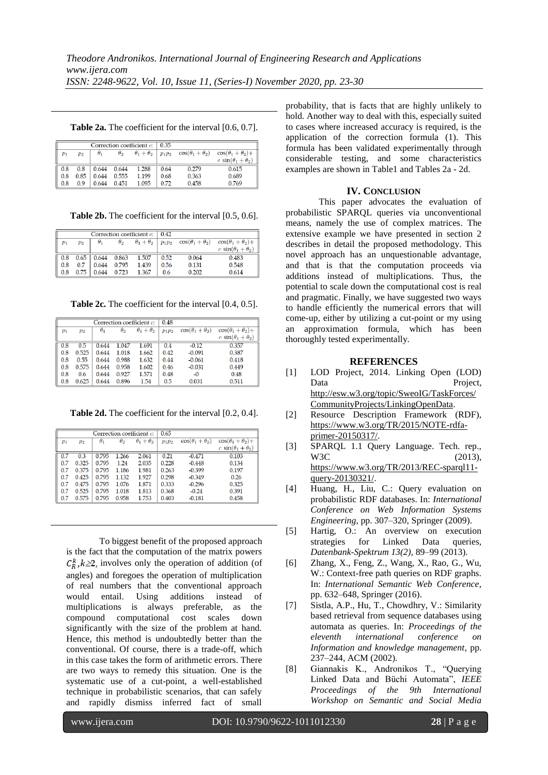**Table 2a.** The coefficient for the interval [0.6, 0.7].

|  |               |         |            |            | Correction coefficient $c: 0.35$ |          |                             |                               |  |  |
|--|---------------|---------|------------|------------|----------------------------------|----------|-----------------------------|-------------------------------|--|--|
|  | $p_1$         | $p_{2}$ | $\theta_1$ | $\theta_2$ | $\theta_1 + \theta_2$            | $p_1p_2$ | $\cos(\theta_1 + \theta_2)$ | $\cos(\theta_1 + \theta_2) +$ |  |  |
|  |               |         |            |            |                                  |          |                             | c $sin(\theta_1 + \theta_2)$  |  |  |
|  | $\boxed{0.8}$ | 0.8     | 0.644      | 0.644      | 1.288                            | 0.64     | 0.279                       | 0.615                         |  |  |
|  | $\vert$ 0.8   | 0.85    | 0.644      | 0.555      | 1.199                            | 0.68     | 0.363                       | 0.689                         |  |  |
|  | $\vert$ 0.8   | 0.9     | 0.644      | 0.451      | 1.095                            | 0.72     | 0.458                       | 0.769                         |  |  |

**Table 2b.** The coefficient for the interval [0.5, 0.6].

|                 |       |            |            | Correction coefficient c: | 0.42     |                             |                               |
|-----------------|-------|------------|------------|---------------------------|----------|-----------------------------|-------------------------------|
| $p_1$           | $p_2$ | $\theta_1$ | $\theta_2$ | $\theta_1+\theta_2$       | $p_1p_2$ | $\cos(\theta_1 + \theta_2)$ | $\cos(\theta_1 + \theta_2) +$ |
|                 |       |            |            |                           |          |                             | c $sin(\theta_1 + \theta_2)$  |
| $\vert$ 0.8     | 0.65  | 0.644      | 0.863      | 1.507                     | 0.52     | 0.064                       | 0.483                         |
| $\parallel$ 0.8 | 0.7   | 0.644      | 0.795      | 1.439                     | 0.56     | 0.131                       | 0.548                         |
| $0.8\,$         | 0.75  | 0.644      | 0.723      | 1.367                     | 0.6      | 0.202                       | 0.614                         |

**Table 2c.** The coefficient for the interval [0.4, 0.5].

|       |                    |            |            | Correction coefficient c: | 0.48     |                             |                               |
|-------|--------------------|------------|------------|---------------------------|----------|-----------------------------|-------------------------------|
| $p_1$ | $\scriptstyle p_2$ | $\theta_1$ | $\theta_2$ | $\theta_1 + \theta_2$     | $p_1p_2$ | $\cos(\theta_1 + \theta_2)$ | $\cos(\theta_1 + \theta_2) +$ |
|       |                    |            |            |                           |          |                             | c $sin(\theta_1 + \theta_2)$  |
| 0.8   | 0.5                | 0.644      | 1.047      | 1.691                     | 0.4      | $-0.12$                     | 0.357                         |
| 0.8   | 0.525              | 0.644      | 1.018      | 1.662                     | 0.42     | $-0.091$                    | 0.387                         |
| 0.8   | 0.55               | 0.644      | 0.988      | 1.632                     | 0.44     | $-0.061$                    | 0.418                         |
| 0.8   | 0.575              | 0.644      | 0.958      | 1.602                     | 0.46     | $-0.031$                    | 0.449                         |
| 0.8   | 0.6                | 0.644      | 0.927      | 1.571                     | 0.48     | $-0$                        | 0.48                          |
| 0.8   | 0.625              | 0.644      | 0.896      | 1.54                      | 0.5      | 0.031                       | 0.511                         |

**Table 2d.** The coefficient for the interval [0.2, 0.4].

|       |       |            |            | Correction coefficient c: | 0.65     |                             |                               |
|-------|-------|------------|------------|---------------------------|----------|-----------------------------|-------------------------------|
| $p_1$ | $p_2$ | $\theta_1$ | $\theta_2$ | $\theta_1+\theta_2$       | $p_1p_2$ | $\cos(\theta_1 + \theta_2)$ | $\cos(\theta_1 + \theta_2) +$ |
|       |       |            |            |                           |          |                             | c $sin(\theta_1 + \theta_2)$  |
| 0.7   | 0.3   | 0.795      | 1.266      | 2.061                     | 0.21     | $-0.471$                    | 0.103                         |
| 0.7   | 0.325 | 0.795      | 1.24       | 2.035                     | 0.228    | $-0.448$                    | 0.134                         |
| 0.7   | 0.375 | 0.795      | 1.186      | 1.981                     | 0.263    | $-0.399$                    | 0.197                         |
| 0.7   | 0.425 | 0.795      | 1.132      | 1.927                     | 0.298    | $-0.349$                    | 0.26                          |
| 0.7   | 0.475 | 0.795      | 1.076      | 1.871                     | 0.333    | $-0.296$                    | 0.325                         |
| 0.7   | 0.525 | 0.795      | 1.018      | 1.813                     | 0.368    | $-0.24$                     | 0.391                         |
| 0.7   | 0.575 | 0.795      | 0.958      | 1.753                     | 0.403    | $-0.181$                    | 0.458                         |

To biggest benefit of the proposed approach is the fact that the computation of the matrix powers  $C_R^k$ ,  $k \geq 2$ , involves only the operation of addition (of angles) and foregoes the operation of multiplication of real numbers that the conventional approach would entail. Using additions instead of multiplications is always preferable, as the compound computational cost scales down significantly with the size of the problem at hand. Hence, this method is undoubtedly better than the conventional. Of course, there is a trade-off, which in this case takes the form of arithmetic errors. There are two ways to remedy this situation. One is the systematic use of a cut-point, a well-established technique in probabilistic scenarios, that can safely and rapidly dismiss inferred fact of small

probability, that is facts that are highly unlikely to hold. Another way to deal with this, especially suited to cases where increased accuracy is required, is the application of the correction formula (1). This formula has been validated experimentally through considerable testing, and some characteristics examples are shown in Table1 and Tables 2a - 2d.

## **IV. CONCLUSION**

This paper advocates the evaluation of probabilistic SPARQL queries via unconventional means, namely the use of complex matrices. The extensive example we have presented in section 2 describes in detail the proposed methodology. This novel approach has an unquestionable advantage, and that is that the computation proceeds via additions instead of multiplications. Thus, the potential to scale down the computational cost is real and pragmatic. Finally, we have suggested two ways to handle efficiently the numerical errors that will come-up, either by utilizing a cut-point or my using an approximation formula, which has been thoroughly tested experimentally.

#### **REFERENCES**

- [1] LOD Project, 2014. Linking Open (LOD) Data Project, [http://esw.w3.org/topic/SweoIG/TaskForces/](http://esw.w3.org/topic/SweoIG/TaskForces/CommunityProjects/LinkingOpenData) [CommunityProjects/LinkingOpenData.](http://esw.w3.org/topic/SweoIG/TaskForces/CommunityProjects/LinkingOpenData)
- [2] Resource Description Framework (RDF), [https://www.w3.org/TR/2015/NOTE-rdfa](https://www.w3.org/TR/2015/NOTE-rdfa-primer-20150317/)[primer-20150317/.](https://www.w3.org/TR/2015/NOTE-rdfa-primer-20150317/)
- [3] SPARQL 1.1 Query Language. Tech. rep., W3C (2013), [https://www.w3.org/TR/2013/REC-sparql11](https://www.w3.org/TR/2013/REC-sparql11-query-20130321/) [query-20130321/.](https://www.w3.org/TR/2013/REC-sparql11-query-20130321/)
- [4] Huang, H., Liu, C.: Query evaluation on probabilistic RDF databases. In: *International Conference on Web Information Systems Engineering*, pp. 307–320, Springer (2009).
- [5] Hartig, O.: An overview on execution strategies for Linked Data queries, *Datenbank-Spektrum 13(2)*, 89–99 (2013).
- [6] Zhang, X., Feng, Z., Wang, X., Rao, G., Wu, W.: Context-free path queries on RDF graphs. In: *International Semantic Web Conference*, pp. 632–648, Springer (2016).
- [7] Sistla, A.P., Hu, T., Chowdhry, V.: Similarity based retrieval from sequence databases using automata as queries. In: *Proceedings of the eleventh international conference on Information and knowledge management*, pp. 237–244, ACM (2002).
- [8] Giannakis K., Andronikos T., "Querying Linked Data and Büchi Automata", *IEEE Proceedings of the 9th International Workshop on Semantic and Social Media*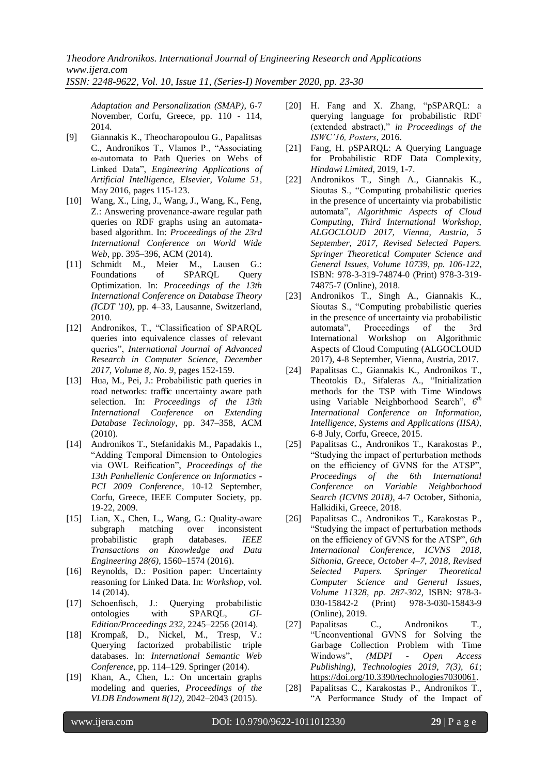*Adaptation and Personalization (SMAP)*, 6-7 November, Corfu, Greece, pp. 110 - 114, 2014.

- [9] Giannakis K., Theocharopoulou G., Papalitsas C., Andronikos T., Vlamos P., "Associating ω-automata to Path Queries on Webs of Linked Data", *Engineering Applications of Artificial Intelligence, Elsevier, Volume 51*, May 2016, pages 115-123.
- [10] Wang, X., Ling, J., Wang, J., Wang, K., Feng, Z.: Answering provenance-aware regular path queries on RDF graphs using an automatabased algorithm. In: *Proceedings of the 23rd International Conference on World Wide Web*, pp. 395–396, ACM (2014).
- [11] Schmidt M., Meier M., Lausen G.: Foundations of SPARQL Query Optimization. In: *Proceedings of the 13th International Conference on Database Theory (ICDT '10)*, pp. 4–33, Lausanne, Switzerland, 2010.
- [12] Andronikos, T., "Classification of SPARQL queries into equivalence classes of relevant queries", *International Journal of Advanced Research in Computer Science, December 2017, Volume 8, No. 9*, pages 152-159.
- [13] Hua, M., Pei, J.: Probabilistic path queries in road networks: traffic uncertainty aware path selection. In: *Proceedings of the 13th International Conference on Extending Database Technology*, pp. 347–358, ACM (2010).
- [14] Andronikos T., Stefanidakis M., Papadakis I., "Adding Temporal Dimension to Ontologies via OWL Reification", *Proceedings of the 13th Panhellenic Conference on Informatics - PCI 2009 Conference*, 10-12 September, Corfu, Greece, IEEE Computer Society, pp. 19-22, 2009.
- [15] Lian, X., Chen, L., Wang, G.: Quality-aware subgraph matching over inconsistent probabilistic graph databases. *IEEE Transactions on Knowledge and Data Engineering 28(6)*, 1560–1574 (2016).
- [16] Reynolds, D.: Position paper: Uncertainty reasoning for Linked Data. In: *Workshop*, vol. 14 (2014).
- [17] Schoenfisch, J.: Querying probabilistic ontologies with SPARQL, *GI-Edition/Proceedings 232*, 2245–2256 (2014).
- [18] Krompaß, D., Nickel, M., Tresp, V.: Querying factorized probabilistic triple databases. In: *International Semantic Web Conference*, pp. 114–129. Springer (2014).
- [19] Khan, A., Chen, L.: On uncertain graphs modeling and queries, *Proceedings of the VLDB Endowment 8(12)*, 2042–2043 (2015).
- [20] H. Fang and X. Zhang, "pSPARQL: a querying language for probabilistic RDF (extended abstract)," *in Proceedings of the ISWC'16, Posters*, 2016.
- [21] Fang, H. pSPARQL: A Querying Language for Probabilistic RDF Data Complexity, *Hindawi Limited*, 2019, 1-7.
- [22] Andronikos T., Singh A., Giannakis K., Sioutas S., "Computing probabilistic queries in the presence of uncertainty via probabilistic automata", *Algorithmic Aspects of Cloud Computing, Third International Workshop, ALGOCLOUD 2017, Vienna, Austria, 5 September, 2017, Revised Selected Papers. Springer Theoretical Computer Science and General Issues, Volume 10739, pp. 106-122*, ISBN: 978-3-319-74874-0 (Print) 978-3-319- 74875-7 (Online), 2018.
- [23] Andronikos T., Singh A., Giannakis K., Sioutas S., "Computing probabilistic queries in the presence of uncertainty via probabilistic automata", Proceedings of the 3rd International Workshop on Algorithmic Aspects of Cloud Computing (ALGOCLOUD 2017), 4-8 September, Vienna, Austria, 2017.
- [24] Papalitsas C., Giannakis K., Andronikos T., Theotokis D., Sifaleras A., "Initialization methods for the TSP with Time Windows using Variable Neighborhood Search", *6 th International Conference on Information, Intelligence, Systems and Applications (IISA)*, 6-8 July, Corfu, Greece, 2015.
- [25] Papalitsas C., Andronikos T., Karakostas P., "Studying the impact of perturbation methods on the efficiency of GVNS for the ATSP", *Proceedings of the 6th International Conference on Variable Neighborhood Search (ICVNS 2018)*, 4-7 October, Sithonia, Halkidiki, Greece, 2018.
- [26] Papalitsas C., Andronikos T., Karakostas P., "Studying the impact of perturbation methods on the efficiency of GVNS for the ATSP", *6th International Conference, ICVNS 2018, Sithonia, Greece, October 4–7, 2018, Revised Selected Papers. Springer Theoretical Computer Science and General Issues, Volume 11328, pp. 287-302*, ISBN: 978-3- 030-15842-2 (Print) 978-3-030-15843-9 (Online), 2019.
- [27] Papalitsas C., Andronikos T., "Unconventional GVNS for Solving the Garbage Collection Problem with Time Windows", *(MDPI - Open Access Publishing), Technologies 2019, 7(3), 61*; [https://doi.org/10.3390/technologies7030061.](https://doi.org/10.3390/technologies7030061)
- [28] Papalitsas C., Karakostas P., Andronikos T., "A Performance Study of the Impact of